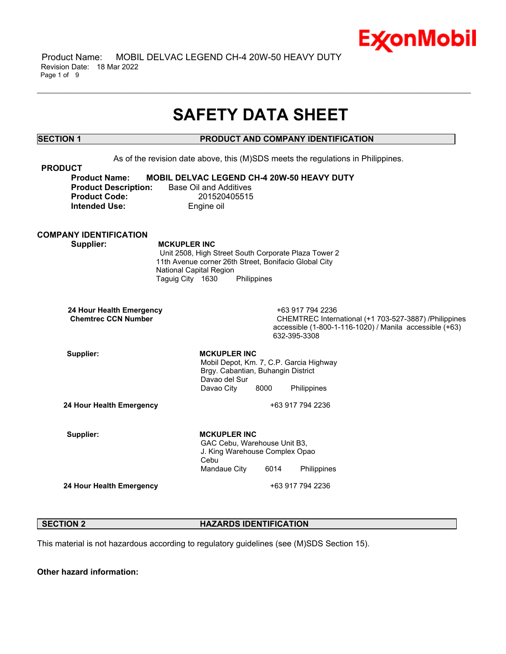

 Product Name: MOBIL DELVAC LEGEND CH-4 20W-50 HEAVY DUTY Revision Date: 18 Mar 2022 Page 1 of 9

# **SAFETY DATA SHEET**

\_\_\_\_\_\_\_\_\_\_\_\_\_\_\_\_\_\_\_\_\_\_\_\_\_\_\_\_\_\_\_\_\_\_\_\_\_\_\_\_\_\_\_\_\_\_\_\_\_\_\_\_\_\_\_\_\_\_\_\_\_\_\_\_\_\_\_\_\_\_\_\_\_\_\_\_\_\_\_\_\_\_\_\_\_\_\_\_\_\_\_\_\_\_\_\_\_\_\_\_\_\_\_\_\_\_\_\_\_\_\_\_\_\_\_\_\_\_

## **SECTION 1 PRODUCT AND COMPANY IDENTIFICATION**

As of the revision date above, this (M)SDS meets the regulations in Philippines. **PRODUCT Product Name: MOBIL DELVAC LEGEND CH-4 20W-50 HEAVY DUTY Product Description:** Base Oil and Additives **Product Code:** 201520405515 **Intended Use:** Engine oil **COMPANY IDENTIFICATION Supplier: MCKUPLER INC** Unit 2508, High Street South Corporate Plaza Tower 2 11th Avenue corner 26th Street, Bonifacio Global City National Capital Region Taguig City 1630 Philippines **24 Hour Health Emergency** +63 917 794 2236 **CHEMTREC International (+1 703-527-3887) /Philippines** accessible (1-800-1-116-1020) / Manila accessible (+63) 632-395-3308 Supplier: MCKUPLER INC Mobil Depot, Km. 7, C.P. Garcia Highway Brgy. Cabantian, Buhangin District Davao del Sur Davao City 8000 Philippines **24 Hour Health Emergency** +63 917 794 2236 Supplier: **MCKUPLER** INC GAC Cebu, Warehouse Unit B3, J. King Warehouse Complex Opao Cebu Mandaue City 6014 Philippines **24 Hour Health Emergency** +63 917 794 2236

## **SECTION 2 HAZARDS IDENTIFICATION**

This material is not hazardous according to regulatory guidelines (see (M)SDS Section 15).

**Other hazard information:**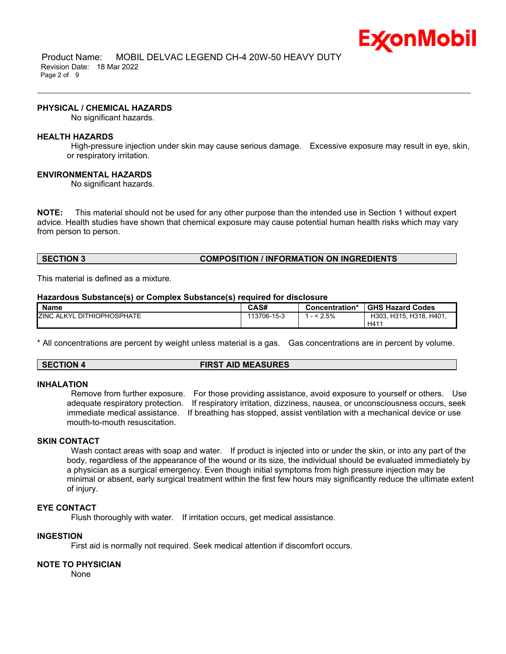

 Product Name: MOBIL DELVAC LEGEND CH-4 20W-50 HEAVY DUTY Revision Date: 18 Mar 2022 Page 2 of 9

#### **PHYSICAL / CHEMICAL HAZARDS**

No significant hazards.

#### **HEALTH HAZARDS**

High-pressure injection under skin may cause serious damage. Excessive exposure may result in eye, skin, or respiratory irritation.

\_\_\_\_\_\_\_\_\_\_\_\_\_\_\_\_\_\_\_\_\_\_\_\_\_\_\_\_\_\_\_\_\_\_\_\_\_\_\_\_\_\_\_\_\_\_\_\_\_\_\_\_\_\_\_\_\_\_\_\_\_\_\_\_\_\_\_\_\_\_\_\_\_\_\_\_\_\_\_\_\_\_\_\_\_\_\_\_\_\_\_\_\_\_\_\_\_\_\_\_\_\_\_\_\_\_\_\_\_\_\_\_\_\_\_\_\_\_

#### **ENVIRONMENTAL HAZARDS**

No significant hazards.

**NOTE:** This material should not be used for any other purpose than the intended use in Section 1 without expert advice. Health studies have shown that chemical exposure may cause potential human health risks which may vary from person to person.

## **SECTION 3 COMPOSITION / INFORMATION ON INGREDIENTS**

This material is defined as a mixture.

#### **Hazardous Substance(s) or Complex Substance(s) required for disclosure**

| <b>Name</b>                            | CAS#        | Concentration* | <b>GHS Hazard Codes</b> |
|----------------------------------------|-------------|----------------|-------------------------|
| <b>ZINC ALKYL</b><br>. DITHIOPHOSPHATE | 113706-15-3 | 2.5%           | H303, H315, H318, H401, |
|                                        |             |                | H41                     |

\* All concentrations are percent by weight unless material is a gas. Gas concentrations are in percent by volume.

## **SECTION 4 FIRST AID MEASURES**

#### **INHALATION**

Remove from further exposure. For those providing assistance, avoid exposure to yourself or others. Use adequate respiratory protection. If respiratory irritation, dizziness, nausea, or unconsciousness occurs, seek immediate medical assistance. If breathing has stopped, assist ventilation with a mechanical device or use mouth-to-mouth resuscitation.

## **SKIN CONTACT**

Wash contact areas with soap and water. If product is injected into or under the skin, or into any part of the body, regardless of the appearance of the wound or its size, the individual should be evaluated immediately by a physician as a surgical emergency. Even though initial symptoms from high pressure injection may be minimal or absent, early surgical treatment within the first few hours may significantly reduce the ultimate extent of injury.

## **EYE CONTACT**

Flush thoroughly with water. If irritation occurs, get medical assistance.

### **INGESTION**

First aid is normally not required. Seek medical attention if discomfort occurs.

#### **NOTE TO PHYSICIAN**

None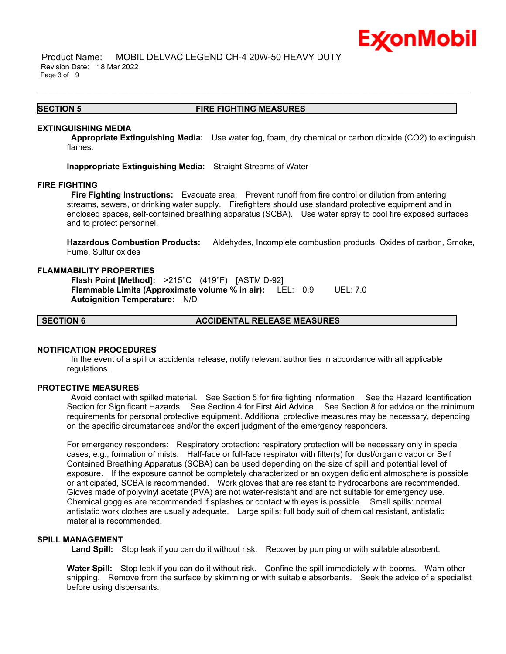

 Product Name: MOBIL DELVAC LEGEND CH-4 20W-50 HEAVY DUTY Revision Date: 18 Mar 2022 Page 3 of 9

#### **SECTION 5 FIRE FIGHTING MEASURES**

\_\_\_\_\_\_\_\_\_\_\_\_\_\_\_\_\_\_\_\_\_\_\_\_\_\_\_\_\_\_\_\_\_\_\_\_\_\_\_\_\_\_\_\_\_\_\_\_\_\_\_\_\_\_\_\_\_\_\_\_\_\_\_\_\_\_\_\_\_\_\_\_\_\_\_\_\_\_\_\_\_\_\_\_\_\_\_\_\_\_\_\_\_\_\_\_\_\_\_\_\_\_\_\_\_\_\_\_\_\_\_\_\_\_\_\_\_\_

#### **EXTINGUISHING MEDIA**

**Appropriate Extinguishing Media:** Use water fog, foam, dry chemical or carbon dioxide (CO2) to extinguish flames.

**Inappropriate Extinguishing Media:** Straight Streams of Water

#### **FIRE FIGHTING**

**Fire Fighting Instructions:** Evacuate area. Prevent runoff from fire control or dilution from entering streams, sewers, or drinking water supply. Firefighters should use standard protective equipment and in enclosed spaces, self-contained breathing apparatus (SCBA). Use water spray to cool fire exposed surfaces and to protect personnel.

**Hazardous Combustion Products:** Aldehydes, Incomplete combustion products, Oxides of carbon, Smoke, Fume, Sulfur oxides

### **FLAMMABILITY PROPERTIES**

**Flash Point [Method]:** >215°C (419°F) [ASTM D-92] **Flammable Limits (Approximate volume % in air):** LEL: 0.9 UEL: 7.0 **Autoignition Temperature:** N/D

**SECTION 6 ACCIDENTAL RELEASE MEASURES**

## **NOTIFICATION PROCEDURES**

In the event of a spill or accidental release, notify relevant authorities in accordance with all applicable regulations.

#### **PROTECTIVE MEASURES**

Avoid contact with spilled material. See Section 5 for fire fighting information. See the Hazard Identification Section for Significant Hazards. See Section 4 for First Aid Advice. See Section 8 for advice on the minimum requirements for personal protective equipment. Additional protective measures may be necessary, depending on the specific circumstances and/or the expert judgment of the emergency responders.

For emergency responders: Respiratory protection: respiratory protection will be necessary only in special cases, e.g., formation of mists. Half-face or full-face respirator with filter(s) for dust/organic vapor or Self Contained Breathing Apparatus (SCBA) can be used depending on the size of spill and potential level of exposure. If the exposure cannot be completely characterized or an oxygen deficient atmosphere is possible or anticipated, SCBA is recommended. Work gloves that are resistant to hydrocarbons are recommended. Gloves made of polyvinyl acetate (PVA) are not water-resistant and are not suitable for emergency use. Chemical goggles are recommended if splashes or contact with eyes is possible. Small spills: normal antistatic work clothes are usually adequate. Large spills: full body suit of chemical resistant, antistatic material is recommended.

## **SPILL MANAGEMENT**

**Land Spill:** Stop leak if you can do it without risk. Recover by pumping or with suitable absorbent.

**Water Spill:** Stop leak if you can do it without risk. Confine the spill immediately with booms. Warn other shipping. Remove from the surface by skimming or with suitable absorbents. Seek the advice of a specialist before using dispersants.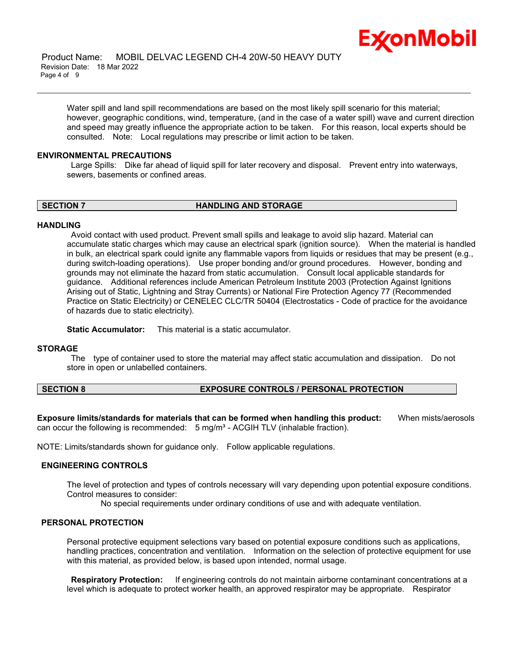

Water spill and land spill recommendations are based on the most likely spill scenario for this material; however, geographic conditions, wind, temperature, (and in the case of a water spill) wave and current direction and speed may greatly influence the appropriate action to be taken. For this reason, local experts should be consulted. Note: Local regulations may prescribe or limit action to be taken.

\_\_\_\_\_\_\_\_\_\_\_\_\_\_\_\_\_\_\_\_\_\_\_\_\_\_\_\_\_\_\_\_\_\_\_\_\_\_\_\_\_\_\_\_\_\_\_\_\_\_\_\_\_\_\_\_\_\_\_\_\_\_\_\_\_\_\_\_\_\_\_\_\_\_\_\_\_\_\_\_\_\_\_\_\_\_\_\_\_\_\_\_\_\_\_\_\_\_\_\_\_\_\_\_\_\_\_\_\_\_\_\_\_\_\_\_\_\_

#### **ENVIRONMENTAL PRECAUTIONS**

Large Spills: Dike far ahead of liquid spill for later recovery and disposal. Prevent entry into waterways, sewers, basements or confined areas.

**SECTION 7 HANDLING AND STORAGE**

#### **HANDLING**

Avoid contact with used product. Prevent small spills and leakage to avoid slip hazard. Material can accumulate static charges which may cause an electrical spark (ignition source). When the material is handled in bulk, an electrical spark could ignite any flammable vapors from liquids or residues that may be present (e.g., during switch-loading operations). Use proper bonding and/or ground procedures. However, bonding and grounds may not eliminate the hazard from static accumulation. Consult local applicable standards for guidance. Additional references include American Petroleum Institute 2003 (Protection Against Ignitions Arising out of Static, Lightning and Stray Currents) or National Fire Protection Agency 77 (Recommended Practice on Static Electricity) or CENELEC CLC/TR 50404 (Electrostatics - Code of practice for the avoidance of hazards due to static electricity).

**Static Accumulator:** This material is a static accumulator.

#### **STORAGE**

The type of container used to store the material may affect static accumulation and dissipation. Do not store in open or unlabelled containers.

## **SECTION 8 EXPOSURE CONTROLS / PERSONAL PROTECTION**

**Exposure limits/standards for materials that can be formed when handling this product:** When mists/aerosols can occur the following is recommended:  $5 \text{ mg/m}^3$  - ACGIH TLV (inhalable fraction).

NOTE: Limits/standards shown for guidance only. Follow applicable regulations.

## **ENGINEERING CONTROLS**

The level of protection and types of controls necessary will vary depending upon potential exposure conditions. Control measures to consider:

No special requirements under ordinary conditions of use and with adequate ventilation.

## **PERSONAL PROTECTION**

Personal protective equipment selections vary based on potential exposure conditions such as applications, handling practices, concentration and ventilation. Information on the selection of protective equipment for use with this material, as provided below, is based upon intended, normal usage.

**Respiratory Protection:** If engineering controls do not maintain airborne contaminant concentrations at a level which is adequate to protect worker health, an approved respirator may be appropriate. Respirator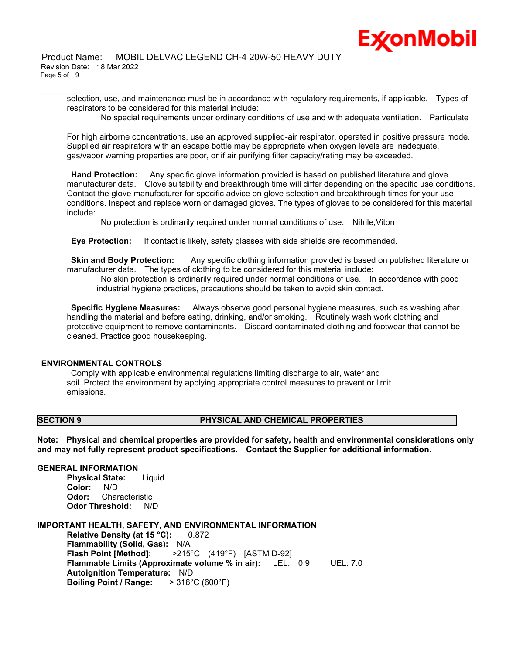selection, use, and maintenance must be in accordance with regulatory requirements, if applicable. Types of respirators to be considered for this material include:

\_\_\_\_\_\_\_\_\_\_\_\_\_\_\_\_\_\_\_\_\_\_\_\_\_\_\_\_\_\_\_\_\_\_\_\_\_\_\_\_\_\_\_\_\_\_\_\_\_\_\_\_\_\_\_\_\_\_\_\_\_\_\_\_\_\_\_\_\_\_\_\_\_\_\_\_\_\_\_\_\_\_\_\_\_\_\_\_\_\_\_\_\_\_\_\_\_\_\_\_\_\_\_\_\_\_\_\_\_\_\_\_\_\_\_\_\_\_

No special requirements under ordinary conditions of use and with adequate ventilation. Particulate

For high airborne concentrations, use an approved supplied-air respirator, operated in positive pressure mode. Supplied air respirators with an escape bottle may be appropriate when oxygen levels are inadequate, gas/vapor warning properties are poor, or if air purifying filter capacity/rating may be exceeded.

**Hand Protection:** Any specific glove information provided is based on published literature and glove manufacturer data. Glove suitability and breakthrough time will differ depending on the specific use conditions. Contact the glove manufacturer for specific advice on glove selection and breakthrough times for your use conditions. Inspect and replace worn or damaged gloves. The types of gloves to be considered for this material include:

No protection is ordinarily required under normal conditions of use. Nitrile,Viton

**Eye Protection:** If contact is likely, safety glasses with side shields are recommended.

**Skin and Body Protection:** Any specific clothing information provided is based on published literature or manufacturer data. The types of clothing to be considered for this material include:

No skin protection is ordinarily required under normal conditions of use. In accordance with good industrial hygiene practices, precautions should be taken to avoid skin contact.

**Specific Hygiene Measures:** Always observe good personal hygiene measures, such as washing after handling the material and before eating, drinking, and/or smoking. Routinely wash work clothing and protective equipment to remove contaminants. Discard contaminated clothing and footwear that cannot be cleaned. Practice good housekeeping.

## **ENVIRONMENTAL CONTROLS**

Comply with applicable environmental regulations limiting discharge to air, water and soil. Protect the environment by applying appropriate control measures to prevent or limit emissions.

## **SECTION 9 PHYSICAL AND CHEMICAL PROPERTIES**

**Note: Physical and chemical properties are provided for safety, health and environmental considerations only and may not fully represent product specifications. Contact the Supplier for additional information.**

## **GENERAL INFORMATION**

**Physical State:** Liquid **Color:** N/D **Odor:** Characteristic **Odor Threshold:** N/D

## **IMPORTANT HEALTH, SAFETY, AND ENVIRONMENTAL INFORMATION**

**Relative Density (at 15 °C):** 0.872 **Flammability (Solid, Gas):** N/A **Flash Point [Method]:** >215°C (419°F) [ASTM D-92] **Flammable Limits (Approximate volume % in air):** LEL: 0.9 UEL: 7.0 **Autoignition Temperature:** N/D **Boiling Point / Range:** > 316°C (600°F)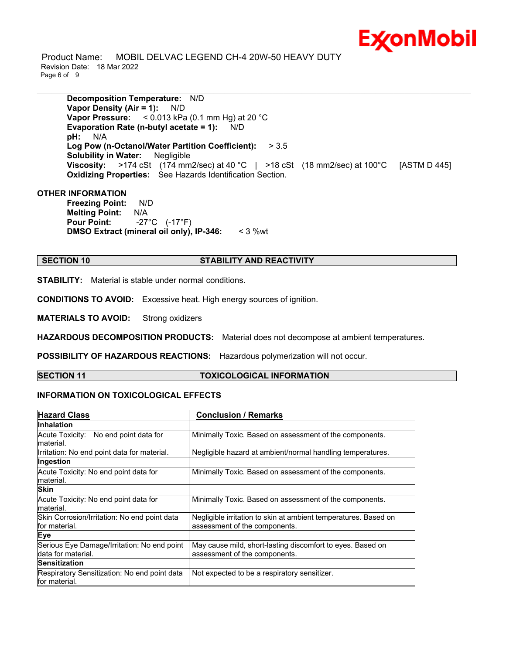

 Product Name: MOBIL DELVAC LEGEND CH-4 20W-50 HEAVY DUTY Revision Date: 18 Mar 2022 Page 6 of 9

**Decomposition Temperature:** N/D **Vapor Density (Air = 1):** N/D **Vapor Pressure:** < 0.013 kPa (0.1 mm Hg) at 20 °C **Evaporation Rate (n-butyl acetate = 1):** N/D **pH:** N/A **Log Pow (n-Octanol/Water Partition Coefficient):** > 3.5 **Solubility in Water:** Negligible **Viscosity:** >174 cSt (174 mm2/sec) at 40 °C | >18 cSt (18 mm2/sec) at 100°C [ASTM D 445] **Oxidizing Properties:** See Hazards Identification Section.

\_\_\_\_\_\_\_\_\_\_\_\_\_\_\_\_\_\_\_\_\_\_\_\_\_\_\_\_\_\_\_\_\_\_\_\_\_\_\_\_\_\_\_\_\_\_\_\_\_\_\_\_\_\_\_\_\_\_\_\_\_\_\_\_\_\_\_\_\_\_\_\_\_\_\_\_\_\_\_\_\_\_\_\_\_\_\_\_\_\_\_\_\_\_\_\_\_\_\_\_\_\_\_\_\_\_\_\_\_\_\_\_\_\_\_\_\_\_

## **OTHER INFORMATION**

**Freezing Point:** N/D **Melting Point:** N/A **Pour Point:** -27°C (-17°F) **DMSO Extract (mineral oil only), IP-346:** < 3 %wt

## **SECTION 10 STABILITY AND REACTIVITY**

**STABILITY:** Material is stable under normal conditions.

**CONDITIONS TO AVOID:** Excessive heat. High energy sources of ignition.

**MATERIALS TO AVOID:** Strong oxidizers

**HAZARDOUS DECOMPOSITION PRODUCTS:** Material does not decompose at ambient temperatures.

**POSSIBILITY OF HAZARDOUS REACTIONS:** Hazardous polymerization will not occur.

## **SECTION 11 TOXICOLOGICAL INFORMATION**

## **INFORMATION ON TOXICOLOGICAL EFFECTS**

| <b>Hazard Class</b>                                           | <b>Conclusion / Remarks</b>                                     |  |
|---------------------------------------------------------------|-----------------------------------------------------------------|--|
| Inhalation                                                    |                                                                 |  |
| Acute Toxicity: No end point data for                         | Minimally Toxic. Based on assessment of the components.         |  |
| lmaterial.                                                    |                                                                 |  |
| Irritation: No end point data for material.                   | Negligible hazard at ambient/normal handling temperatures.      |  |
| Ingestion                                                     |                                                                 |  |
| Acute Toxicity: No end point data for                         | Minimally Toxic. Based on assessment of the components.         |  |
| material.                                                     |                                                                 |  |
| <b>Skin</b>                                                   |                                                                 |  |
| Acute Toxicity: No end point data for                         | Minimally Toxic. Based on assessment of the components.         |  |
| material.                                                     |                                                                 |  |
| Skin Corrosion/Irritation: No end point data                  | Negligible irritation to skin at ambient temperatures. Based on |  |
| for material.                                                 | assessment of the components.                                   |  |
| Eye                                                           |                                                                 |  |
| Serious Eye Damage/Irritation: No end point                   | May cause mild, short-lasting discomfort to eyes. Based on      |  |
| data for material.                                            | assessment of the components.                                   |  |
| <b>Sensitization</b>                                          |                                                                 |  |
| Respiratory Sensitization: No end point data<br>for material. | Not expected to be a respiratory sensitizer.                    |  |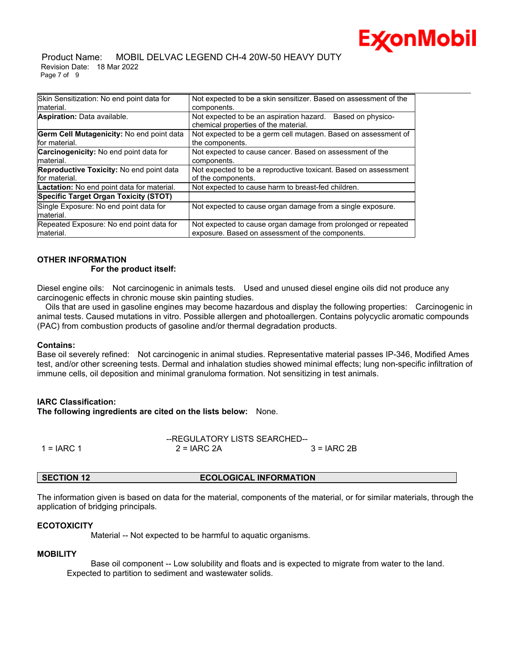

 Product Name: MOBIL DELVAC LEGEND CH-4 20W-50 HEAVY DUTY Revision Date: 18 Mar 2022 Page 7 of 9

| Skin Sensitization: No end point data for         | Not expected to be a skin sensitizer. Based on assessment of the                                      |  |
|---------------------------------------------------|-------------------------------------------------------------------------------------------------------|--|
| material.                                         | components.                                                                                           |  |
| Aspiration: Data available.                       | Not expected to be an aspiration hazard.<br>Based on physico-<br>chemical properties of the material. |  |
| Germ Cell Mutagenicity: No end point data         | Not expected to be a germ cell mutagen. Based on assessment of                                        |  |
| for material.                                     | the components.                                                                                       |  |
| <b>Carcinogenicity:</b> No end point data for     | Not expected to cause cancer. Based on assessment of the                                              |  |
| material.                                         | components.                                                                                           |  |
| <b>Reproductive Toxicity:</b> No end point data   | Not expected to be a reproductive toxicant. Based on assessment                                       |  |
| for material.                                     | of the components.                                                                                    |  |
| <b>Lactation:</b> No end point data for material. | Not expected to cause harm to breast-fed children.                                                    |  |
| Specific Target Organ Toxicity (STOT)             |                                                                                                       |  |
| Single Exposure: No end point data for            | Not expected to cause organ damage from a single exposure.                                            |  |
| material.                                         |                                                                                                       |  |
| Repeated Exposure: No end point data for          | Not expected to cause organ damage from prolonged or repeated                                         |  |
| material.                                         | exposure. Based on assessment of the components.                                                      |  |

## **OTHER INFORMATION For the product itself:**

Diesel engine oils: Not carcinogenic in animals tests. Used and unused diesel engine oils did not produce any carcinogenic effects in chronic mouse skin painting studies.

 Oils that are used in gasoline engines may become hazardous and display the following properties: Carcinogenic in animal tests. Caused mutations in vitro. Possible allergen and photoallergen. Contains polycyclic aromatic compounds (PAC) from combustion products of gasoline and/or thermal degradation products.

## **Contains:**

Base oil severely refined: Not carcinogenic in animal studies. Representative material passes IP-346, Modified Ames test, and/or other screening tests. Dermal and inhalation studies showed minimal effects; lung non-specific infiltration of immune cells, oil deposition and minimal granuloma formation. Not sensitizing in test animals.

## **IARC Classification:**

**The following ingredients are cited on the lists below:** None.

|              | --REGULATORY LISTS SEARCHED-- |               |  |
|--------------|-------------------------------|---------------|--|
| $1 = IARC 1$ | $2 = IARC 2A$                 | $3 = IARC 2B$ |  |

## **SECTION 12 ECOLOGICAL INFORMATION**

The information given is based on data for the material, components of the material, or for similar materials, through the application of bridging principals.

## **ECOTOXICITY**

Material -- Not expected to be harmful to aquatic organisms.

#### **MOBILITY**

 Base oil component -- Low solubility and floats and is expected to migrate from water to the land. Expected to partition to sediment and wastewater solids.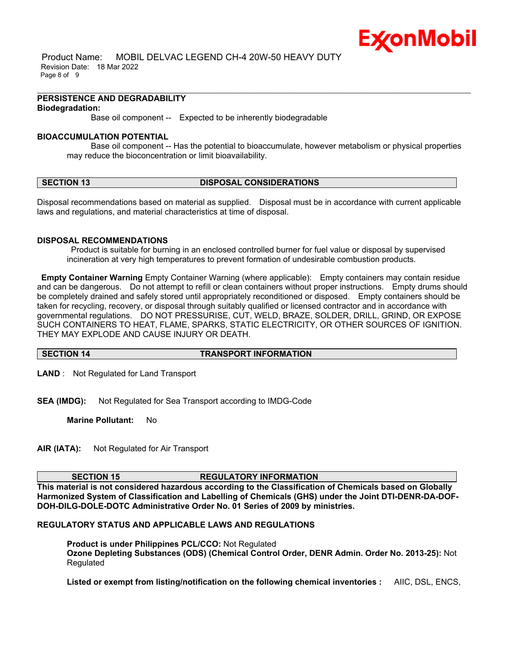

 Product Name: MOBIL DELVAC LEGEND CH-4 20W-50 HEAVY DUTY Revision Date: 18 Mar 2022 Page 8 of 9

#### **PERSISTENCE AND DEGRADABILITY Biodegradation:**

Base oil component -- Expected to be inherently biodegradable

### **BIOACCUMULATION POTENTIAL**

 Base oil component -- Has the potential to bioaccumulate, however metabolism or physical properties may reduce the bioconcentration or limit bioavailability.

\_\_\_\_\_\_\_\_\_\_\_\_\_\_\_\_\_\_\_\_\_\_\_\_\_\_\_\_\_\_\_\_\_\_\_\_\_\_\_\_\_\_\_\_\_\_\_\_\_\_\_\_\_\_\_\_\_\_\_\_\_\_\_\_\_\_\_\_\_\_\_\_\_\_\_\_\_\_\_\_\_\_\_\_\_\_\_\_\_\_\_\_\_\_\_\_\_\_\_\_\_\_\_\_\_\_\_\_\_\_\_\_\_\_\_\_\_\_

### **SECTION 13 DISPOSAL CONSIDERATIONS**

Disposal recommendations based on material as supplied. Disposal must be in accordance with current applicable laws and regulations, and material characteristics at time of disposal.

### **DISPOSAL RECOMMENDATIONS**

Product is suitable for burning in an enclosed controlled burner for fuel value or disposal by supervised incineration at very high temperatures to prevent formation of undesirable combustion products.

**Empty Container Warning** Empty Container Warning (where applicable): Empty containers may contain residue and can be dangerous. Do not attempt to refill or clean containers without proper instructions. Empty drums should be completely drained and safely stored until appropriately reconditioned or disposed. Empty containers should be taken for recycling, recovery, or disposal through suitably qualified or licensed contractor and in accordance with governmental regulations. DO NOT PRESSURISE, CUT, WELD, BRAZE, SOLDER, DRILL, GRIND, OR EXPOSE SUCH CONTAINERS TO HEAT, FLAME, SPARKS, STATIC ELECTRICITY, OR OTHER SOURCES OF IGNITION. THEY MAY EXPLODE AND CAUSE INJURY OR DEATH.

### **SECTION 14 TRANSPORT INFORMATION**

**LAND** : Not Regulated for Land Transport

**SEA (IMDG):** Not Regulated for Sea Transport according to IMDG-Code

**Marine Pollutant:** No

**AIR (IATA):** Not Regulated for Air Transport

### **SECTION 15 REGULATORY INFORMATION**

**This material is not considered hazardous according to the Classification of Chemicals based on Globally Harmonized System of Classification and Labelling of Chemicals (GHS) under the Joint DTI-DENR-DA-DOF-DOH-DILG-DOLE-DOTC Administrative Order No. 01 Series of 2009 by ministries.**

## **REGULATORY STATUS AND APPLICABLE LAWS AND REGULATIONS**

**Product is under Philippines PCL/CCO:** Not Regulated **Ozone Depleting Substances (ODS) (Chemical Control Order, DENR Admin. Order No. 2013-25):** Not Regulated

**Listed or exempt from listing/notification on the following chemical inventories :** AIIC, DSL, ENCS,